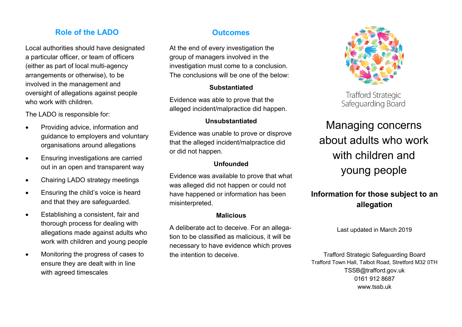## **Role of the LADO CONSIDERING OUTCOMES**

Local authorities should have designated a particular officer, or team of officers (either as part of local multi-agency arrangements or otherwise), to be involved in the management and oversight of allegations against people who work with children.

The LADO is responsible for:

- Providing advice, information and guidance to employers and voluntary organisations around allegations
- **Ensuring investigations are carried** out in an open and transparent way
- Chairing LADO strategy meetings
- Ensuring the child's voice is heard and that they are safeguarded.
- Establishing a consistent, fair and thorough process for dealing with allegations made against adults who work with children and young people
- Monitoring the progress of cases to ensure they are dealt with in line with agreed timescales

At the end of every investigation the group of managers involved in the investigation must come to a conclusion. The conclusions will be one of the below:

## **Substantiated**

Evidence was able to prove that the alleged incident/malpractice did happen.

## **Unsubstantiated**

Evidence was unable to prove or disprove that the alleged incident/malpractice did or did not happen.

## **Unfounded**

Evidence was available to prove that what was alleged did not happen or could not have happened or information has been misinterpreted.

## **Malicious**

A deliberate act to deceive. For an allegation to be classified as malicious, it will be necessary to have evidence which proves the intention to deceive.



**Trafford Strategic** Safeguarding Board

## Managing concerns about adults who work with children and young people

## **Information for those subject to an allegation**

Last updated in March 2019

Trafford Strategic Safeguarding Board Trafford Town Hall, Talbot Road, Stretford M32 0TH TSSB@trafford.gov.uk 0161 912 8687 www.tssb.uk